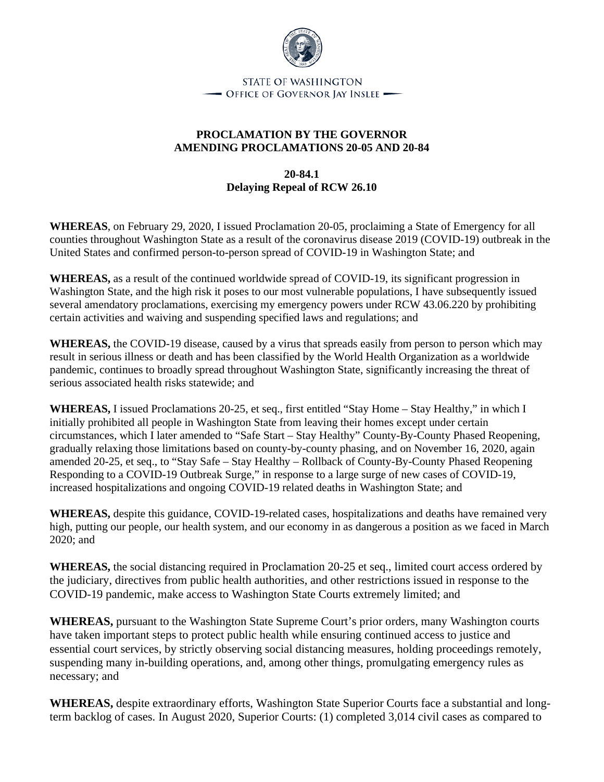

- OFFICE OF GOVERNOR JAY INSLEE -

## **PROCLAMATION BY THE GOVERNOR AMENDING PROCLAMATIONS 20-05 AND 20-84**

## **20-84.1 Delaying Repeal of RCW 26.10**

**WHEREAS**, on February 29, 2020, I issued Proclamation 20-05, proclaiming a State of Emergency for all counties throughout Washington State as a result of the coronavirus disease 2019 (COVID-19) outbreak in the United States and confirmed person-to-person spread of COVID-19 in Washington State; and

**WHEREAS,** as a result of the continued worldwide spread of COVID-19, its significant progression in Washington State, and the high risk it poses to our most vulnerable populations, I have subsequently issued several amendatory proclamations, exercising my emergency powers under RCW 43.06.220 by prohibiting certain activities and waiving and suspending specified laws and regulations; and

**WHEREAS,** the COVID-19 disease, caused by a virus that spreads easily from person to person which may result in serious illness or death and has been classified by the World Health Organization as a worldwide pandemic, continues to broadly spread throughout Washington State, significantly increasing the threat of serious associated health risks statewide; and

**WHEREAS,** I issued Proclamations 20-25, et seq., first entitled "Stay Home – Stay Healthy," in which I initially prohibited all people in Washington State from leaving their homes except under certain circumstances, which I later amended to "Safe Start – Stay Healthy" County-By-County Phased Reopening, gradually relaxing those limitations based on county-by-county phasing, and on November 16, 2020, again amended 20-25, et seq., to "Stay Safe – Stay Healthy – Rollback of County-By-County Phased Reopening Responding to a COVID-19 Outbreak Surge," in response to a large surge of new cases of COVID-19, increased hospitalizations and ongoing COVID-19 related deaths in Washington State; and

**WHEREAS,** despite this guidance, COVID-19-related cases, hospitalizations and deaths have remained very high, putting our people, our health system, and our economy in as dangerous a position as we faced in March 2020; and

**WHEREAS,** the social distancing required in Proclamation 20-25 et seq., limited court access ordered by the judiciary, directives from public health authorities, and other restrictions issued in response to the COVID-19 pandemic, make access to Washington State Courts extremely limited; and

**WHEREAS,** pursuant to the Washington State Supreme Court's prior orders, many Washington courts have taken important steps to protect public health while ensuring continued access to justice and essential court services, by strictly observing social distancing measures, holding proceedings remotely, suspending many in-building operations, and, among other things, promulgating emergency rules as necessary; and

**WHEREAS,** despite extraordinary efforts, Washington State Superior Courts face a substantial and longterm backlog of cases. In August 2020, Superior Courts: (1) completed 3,014 civil cases as compared to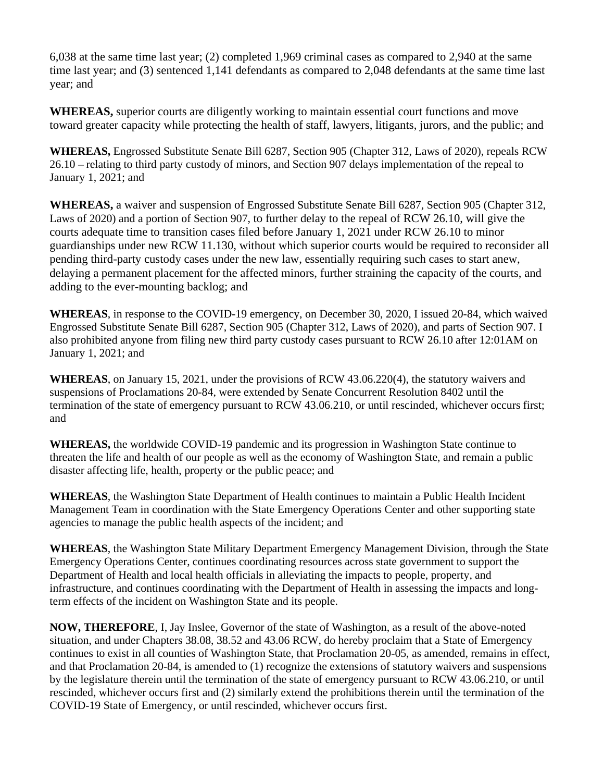6,038 at the same time last year; (2) completed 1,969 criminal cases as compared to 2,940 at the same time last year; and (3) sentenced 1,141 defendants as compared to 2,048 defendants at the same time last year; and

**WHEREAS,** superior courts are diligently working to maintain essential court functions and move toward greater capacity while protecting the health of staff, lawyers, litigants, jurors, and the public; and

**WHEREAS,** Engrossed Substitute Senate Bill 6287, Section 905 (Chapter 312, Laws of 2020), repeals RCW 26.10 – relating to third party custody of minors, and Section 907 delays implementation of the repeal to January 1, 2021; and

**WHEREAS,** a waiver and suspension of Engrossed Substitute Senate Bill 6287, Section 905 (Chapter 312, Laws of 2020) and a portion of Section 907, to further delay to the repeal of RCW 26.10, will give the courts adequate time to transition cases filed before January 1, 2021 under RCW 26.10 to minor guardianships under new RCW 11.130, without which superior courts would be required to reconsider all pending third-party custody cases under the new law, essentially requiring such cases to start anew, delaying a permanent placement for the affected minors, further straining the capacity of the courts, and adding to the ever-mounting backlog; and

**WHEREAS**, in response to the COVID-19 emergency, on December 30, 2020, I issued 20-84, which waived Engrossed Substitute Senate Bill 6287, Section 905 (Chapter 312, Laws of 2020), and parts of Section 907. I also prohibited anyone from filing new third party custody cases pursuant to RCW 26.10 after 12:01AM on January 1, 2021; and

**WHEREAS**, on January 15, 2021, under the provisions of RCW 43.06.220(4), the statutory waivers and suspensions of Proclamations 20-84, were extended by Senate Concurrent Resolution 8402 until the termination of the state of emergency pursuant to RCW 43.06.210, or until rescinded, whichever occurs first; and

**WHEREAS,** the worldwide COVID-19 pandemic and its progression in Washington State continue to threaten the life and health of our people as well as the economy of Washington State, and remain a public disaster affecting life, health, property or the public peace; and

**WHEREAS**, the Washington State Department of Health continues to maintain a Public Health Incident Management Team in coordination with the State Emergency Operations Center and other supporting state agencies to manage the public health aspects of the incident; and

**WHEREAS**, the Washington State Military Department Emergency Management Division, through the State Emergency Operations Center, continues coordinating resources across state government to support the Department of Health and local health officials in alleviating the impacts to people, property, and infrastructure, and continues coordinating with the Department of Health in assessing the impacts and longterm effects of the incident on Washington State and its people.

**NOW, THEREFORE**, I, Jay Inslee, Governor of the state of Washington, as a result of the above-noted situation, and under Chapters 38.08, 38.52 and 43.06 RCW, do hereby proclaim that a State of Emergency continues to exist in all counties of Washington State, that Proclamation 20-05, as amended, remains in effect, and that Proclamation 20-84, is amended to (1) recognize the extensions of statutory waivers and suspensions by the legislature therein until the termination of the state of emergency pursuant to RCW 43.06.210, or until rescinded, whichever occurs first and (2) similarly extend the prohibitions therein until the termination of the COVID-19 State of Emergency, or until rescinded, whichever occurs first.